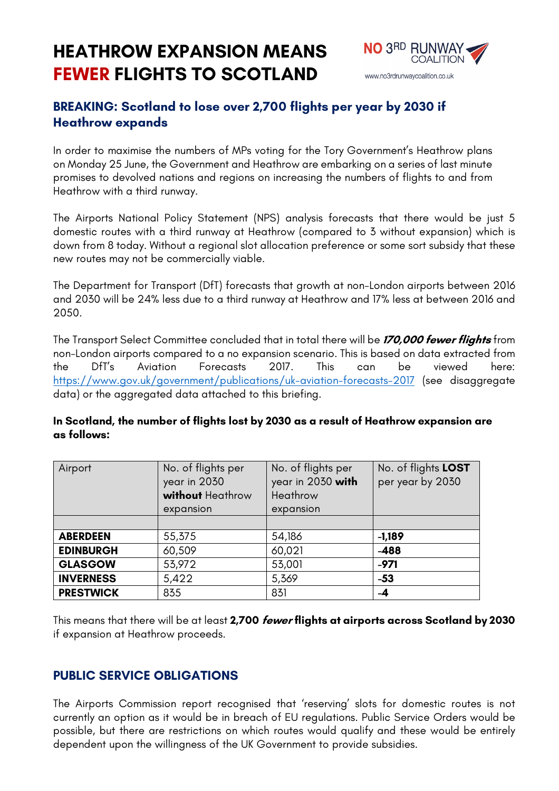# **HEATHROW EXPANSION MEANS FEWER FLIGHTS TO SCOTLAND**



## **BREAKING: Scotland to lose over 2,700 flights per year by 2030 if Heathrow expands**

In order to maximise the numbers of MPs voting for the Tory Government's Heathrow plans on Monday 25 June, the Government and Heathrow are embarking on a series of last minute promises to devolved nations and regions on increasing the numbers of flights to and from Heathrow with a third runway.

The Airports National Policy Statement (NPS) analysis forecasts that there would be just 5 domestic routes with a third runway at Heathrow (compared to 3 without expansion) which is down from 8 today. Without a regional slot allocation preference or some sort subsidy that these new routes may not be commercially viable.

The Department for Transport (DfT) forecasts that growth at non-London airports between 2016 and 2030 will be 24% less due to a third runway at Heathrow and 17% less at between 2016 and 2050.

The Transport Select Committee concluded that in total there will be **170,000 fewer flights** from non-London airports compared to a no expansion scenario. This is based on data extracted from the DfT's Aviation Forecasts 2017. This can be viewed here: https://www.gov.uk/government/publications/uk-aviation-forecasts-2017 (see disaggregate data) or the aggregated data attached to this briefing.

#### **In Scotland, the number of flights lost by 2030 as a result of Heathrow expansion are as follows:**

| Airport          | No. of flights per<br>year in 2030<br>without Heathrow<br>expansion | No. of flights per<br>year in 2030 with<br>Heathrow<br>expansion | No. of flights LOST<br>per year by 2030 |
|------------------|---------------------------------------------------------------------|------------------------------------------------------------------|-----------------------------------------|
| <b>ABERDEEN</b>  | 55,375                                                              | 54,186                                                           | $-1,189$                                |
| <b>EDINBURGH</b> | 60,509                                                              | 60,021                                                           | $-488$                                  |
| <b>GLASGOW</b>   | 53,972                                                              | 53,001                                                           | $-971$                                  |
| <b>INVERNESS</b> | 5,422                                                               | 5,369                                                            | $-53$                                   |
| <b>PRESTWICK</b> | 835                                                                 | 831                                                              | -4                                      |

This means that there will be at least **2,700 fewer flights at airports across Scotland by 2030** if expansion at Heathrow proceeds.

#### **PUBLIC SERVICE OBLIGATIONS**

The Airports Commission report recognised that 'reserving' slots for domestic routes is not currently an option as it would be in breach of EU regulations. Public Service Orders would be possible, but there are restrictions on which routes would qualify and these would be entirely dependent upon the willingness of the UK Government to provide subsidies.